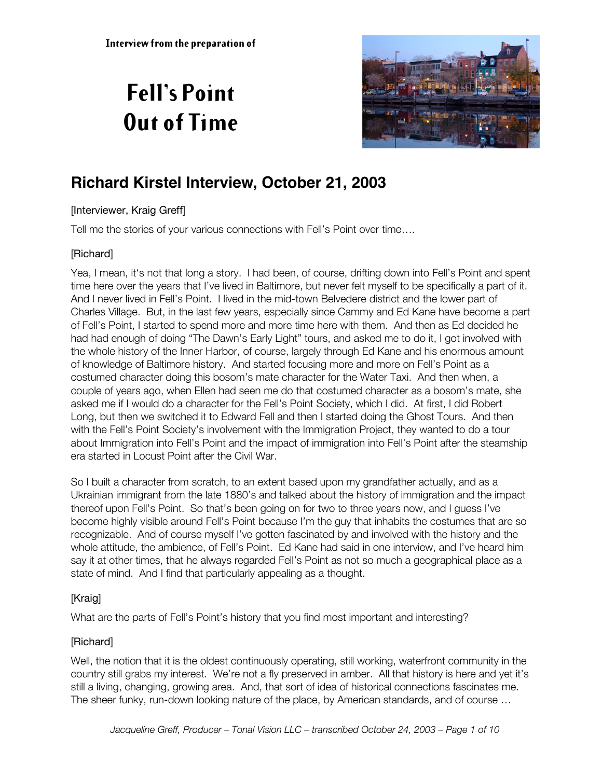# **Fell's Point Out of Time**



# **Richard Kirstel Interview, October 21, 2003**

#### [Interviewer, Kraig Greff]

Tell me the stories of your various connections with Fell's Point over time….

# [Richard]

Yea, I mean, it's not that long a story. I had been, of course, drifting down into Fell's Point and spent time here over the years that I've lived in Baltimore, but never felt myself to be specifically a part of it. And I never lived in Fell's Point. I lived in the mid-town Belvedere district and the lower part of Charles Village. But, in the last few years, especially since Cammy and Ed Kane have become a part of Fell's Point, I started to spend more and more time here with them. And then as Ed decided he had had enough of doing "The Dawn's Early Light" tours, and asked me to do it, I got involved with the whole history of the Inner Harbor, of course, largely through Ed Kane and his enormous amount of knowledge of Baltimore history. And started focusing more and more on Fell's Point as a costumed character doing this bosom's mate character for the Water Taxi. And then when, a couple of years ago, when Ellen had seen me do that costumed character as a bosom's mate, she asked me if I would do a character for the Fell's Point Society, which I did. At first, I did Robert Long, but then we switched it to Edward Fell and then I started doing the Ghost Tours. And then with the Fell's Point Society's involvement with the Immigration Project, they wanted to do a tour about Immigration into Fell's Point and the impact of immigration into Fell's Point after the steamship era started in Locust Point after the Civil War.

So I built a character from scratch, to an extent based upon my grandfather actually, and as a Ukrainian immigrant from the late 1880's and talked about the history of immigration and the impact thereof upon Fell's Point. So that's been going on for two to three years now, and I guess I've become highly visible around Fell's Point because I'm the guy that inhabits the costumes that are so recognizable. And of course myself I've gotten fascinated by and involved with the history and the whole attitude, the ambience, of Fell's Point. Ed Kane had said in one interview, and I've heard him say it at other times, that he always regarded Fell's Point as not so much a geographical place as a state of mind. And I find that particularly appealing as a thought.

#### [Kraig]

What are the parts of Fell's Point's history that you find most important and interesting?

# [Richard]

Well, the notion that it is the oldest continuously operating, still working, waterfront community in the country still grabs my interest. We're not a fly preserved in amber. All that history is here and yet it's still a living, changing, growing area. And, that sort of idea of historical connections fascinates me. The sheer funky, run-down looking nature of the place, by American standards, and of course …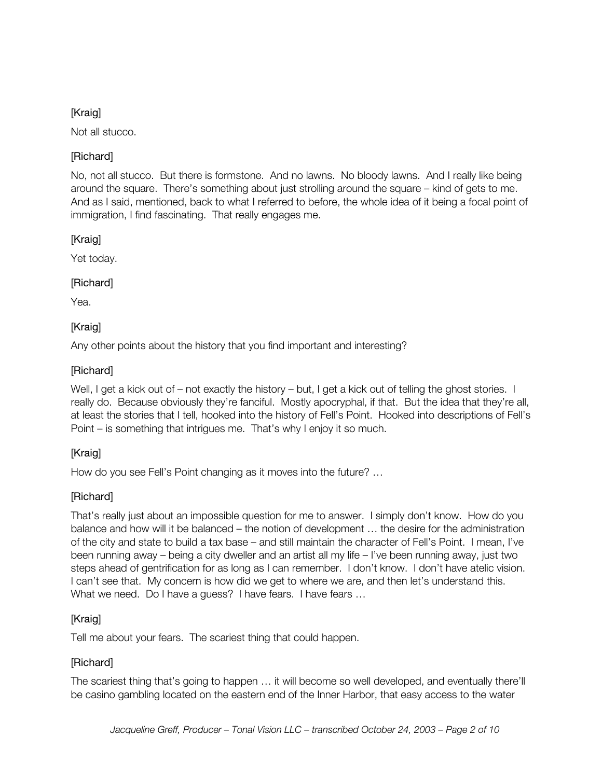Not all stucco.

# [Richard]

No, not all stucco. But there is formstone. And no lawns. No bloody lawns. And I really like being around the square. There's something about just strolling around the square – kind of gets to me. And as I said, mentioned, back to what I referred to before, the whole idea of it being a focal point of immigration, I find fascinating. That really engages me.

#### [Kraig]

Yet today.

# [Richard]

Yea.

# **[Kraig]**

Any other points about the history that you find important and interesting?

# [Richard]

Well, I get a kick out of – not exactly the history – but, I get a kick out of telling the ghost stories. I really do. Because obviously they're fanciful. Mostly apocryphal, if that. But the idea that they're all, at least the stories that I tell, hooked into the history of Fell's Point. Hooked into descriptions of Fell's Point – is something that intrigues me. That's why I enjoy it so much.

# [Kraig]

How do you see Fell's Point changing as it moves into the future? …

# [Richard]

That's really just about an impossible question for me to answer. I simply don't know. How do you balance and how will it be balanced – the notion of development … the desire for the administration of the city and state to build a tax base – and still maintain the character of Fell's Point. I mean, I've been running away – being a city dweller and an artist all my life – I've been running away, just two steps ahead of gentrification for as long as I can remember. I don't know. I don't have atelic vision. I can't see that. My concern is how did we get to where we are, and then let's understand this. What we need. Do I have a guess? I have fears. I have fears ...

# [Kraig]

Tell me about your fears. The scariest thing that could happen.

#### [Richard]

The scariest thing that's going to happen … it will become so well developed, and eventually there'll be casino gambling located on the eastern end of the Inner Harbor, that easy access to the water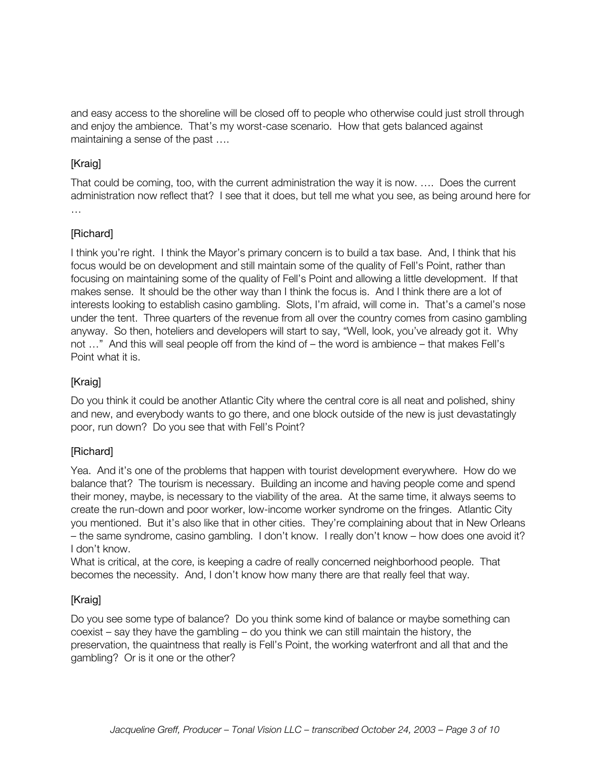and easy access to the shoreline will be closed off to people who otherwise could just stroll through and enjoy the ambience. That's my worst-case scenario. How that gets balanced against maintaining a sense of the past ….

# [Kraig]

That could be coming, too, with the current administration the way it is now. …. Does the current administration now reflect that? I see that it does, but tell me what you see, as being around here for …<br>……

#### [Richard]

I think you're right. I think the Mayor's primary concern is to build a tax base. And, I think that his focus would be on development and still maintain some of the quality of Fell's Point, rather than focusing on maintaining some of the quality of Fell's Point and allowing a little development. If that makes sense. It should be the other way than I think the focus is. And I think there are a lot of interests looking to establish casino gambling. Slots, I'm afraid, will come in. That's a camel's nose under the tent. Three quarters of the revenue from all over the country comes from casino gambling anyway. So then, hoteliers and developers will start to say, "Well, look, you've already got it. Why not …" And this will seal people off from the kind of – the word is ambience – that makes Fell's Point what it is.

#### [Kraig]

Do you think it could be another Atlantic City where the central core is all neat and polished, shiny and new, and everybody wants to go there, and one block outside of the new is just devastatingly poor, run down? Do you see that with Fell's Point?

#### [Richard]

Yea. And it's one of the problems that happen with tourist development everywhere. How do we balance that? The tourism is necessary. Building an income and having people come and spend their money, maybe, is necessary to the viability of the area. At the same time, it always seems to create the run-down and poor worker, low-income worker syndrome on the fringes. Atlantic City you mentioned. But it's also like that in other cities. They're complaining about that in New Orleans – the same syndrome, casino gambling. I don't know. I really don't know – how does one avoid it? I don't know.

What is critical, at the core, is keeping a cadre of really concerned neighborhood people. That becomes the necessity. And, I don't know how many there are that really feel that way.

#### [Kraig]

Do you see some type of balance? Do you think some kind of balance or maybe something can coexist – say they have the gambling – do you think we can still maintain the history, the preservation, the quaintness that really is Fell's Point, the working waterfront and all that and the gambling? Or is it one or the other?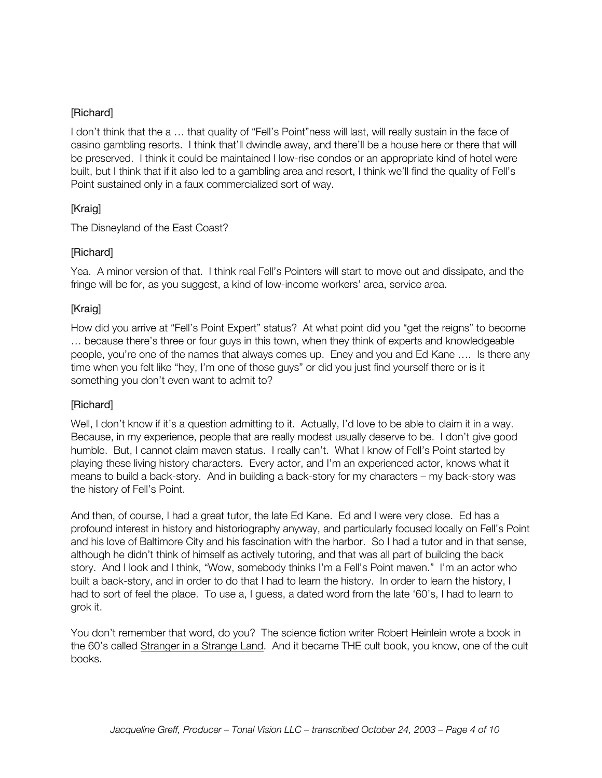#### [Richard]

I don't think that the a … that quality of "Fell's Point"ness will last, will really sustain in the face of casino gambling resorts. I think that'll dwindle away, and there'll be a house here or there that will be preserved. I think it could be maintained I low-rise condos or an appropriate kind of hotel were built, but I think that if it also led to a gambling area and resort, I think we'll find the quality of Fell's Point sustained only in a faux commercialized sort of way.

#### [Kraig]

The Disneyland of the East Coast?

#### [Richard]

Yea. A minor version of that. I think real Fell's Pointers will start to move out and dissipate, and the fringe will be for, as you suggest, a kind of low-income workers' area, service area.

#### [Kraig]

How did you arrive at "Fell's Point Expert" status? At what point did you "get the reigns" to become … because there's three or four guys in this town, when they think of experts and knowledgeable people, you're one of the names that always comes up. Eney and you and Ed Kane …. Is there any time when you felt like "hey, I'm one of those guys" or did you just find yourself there or is it something you don't even want to admit to?

#### [Richard]

Well, I don't know if it's a question admitting to it. Actually, I'd love to be able to claim it in a way. Because, in my experience, people that are really modest usually deserve to be. I don't give good humble. But, I cannot claim maven status. I really can't. What I know of Fell's Point started by playing these living history characters. Every actor, and I'm an experienced actor, knows what it means to build a back-story. And in building a back-story for my characters – my back-story was the history of Fell's Point.

And then, of course, I had a great tutor, the late Ed Kane. Ed and I were very close. Ed has a profound interest in history and historiography anyway, and particularly focused locally on Fell's Point and his love of Baltimore City and his fascination with the harbor. So I had a tutor and in that sense, although he didn't think of himself as actively tutoring, and that was all part of building the back story. And I look and I think, "Wow, somebody thinks I'm a Fell's Point maven." I'm an actor who built a back-story, and in order to do that I had to learn the history. In order to learn the history, I had to sort of feel the place. To use a, I guess, a dated word from the late '60's, I had to learn to grok it.

You don't remember that word, do you? The science fiction writer Robert Heinlein wrote a book in the 60's called Stranger in a Strange Land. And it became THE cult book, you know, one of the cult books.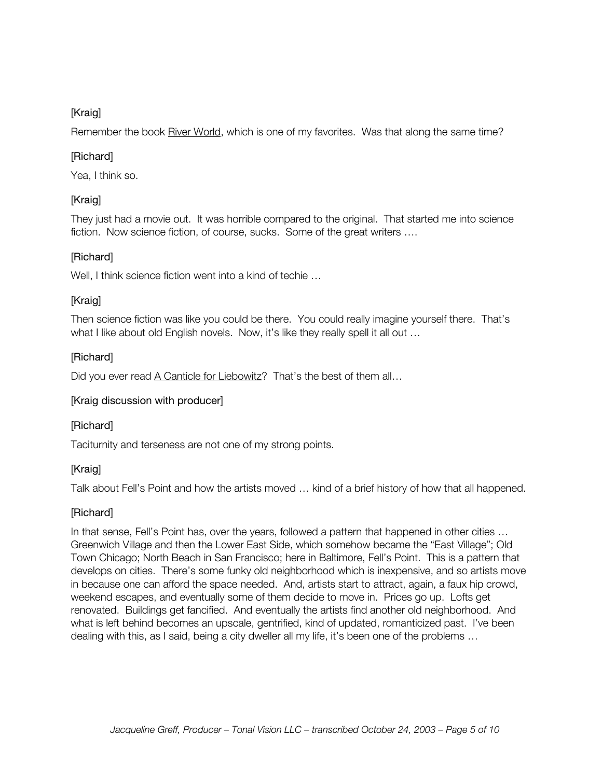Remember the book River World, which is one of my favorites. Was that along the same time?

#### [Richard]

Yea, I think so.

# [Kraig]

They just had a movie out. It was horrible compared to the original. That started me into science fiction. Now science fiction, of course, sucks. Some of the great writers ….

#### [Richard]

Well, I think science fiction went into a kind of techie ...

#### [Kraig]

Then science fiction was like you could be there. You could really imagine yourself there. That's what I like about old English novels. Now, it's like they really spell it all out ...

#### [Richard]

Did you ever read A Canticle for Liebowitz? That's the best of them all...

#### [Kraig discussion with producer]

#### [Richard]

Taciturnity and terseness are not one of my strong points.

#### [Kraig]

Talk about Fell's Point and how the artists moved … kind of a brief history of how that all happened.

#### [Richard]

In that sense, Fell's Point has, over the years, followed a pattern that happened in other cities … Greenwich Village and then the Lower East Side, which somehow became the "East Village"; Old Town Chicago; North Beach in San Francisco; here in Baltimore, Fell's Point. This is a pattern that develops on cities. There's some funky old neighborhood which is inexpensive, and so artists move in because one can afford the space needed. And, artists start to attract, again, a faux hip crowd, weekend escapes, and eventually some of them decide to move in. Prices go up. Lofts get renovated. Buildings get fancified. And eventually the artists find another old neighborhood. And what is left behind becomes an upscale, gentrified, kind of updated, romanticized past. I've been dealing with this, as I said, being a city dweller all my life, it's been one of the problems …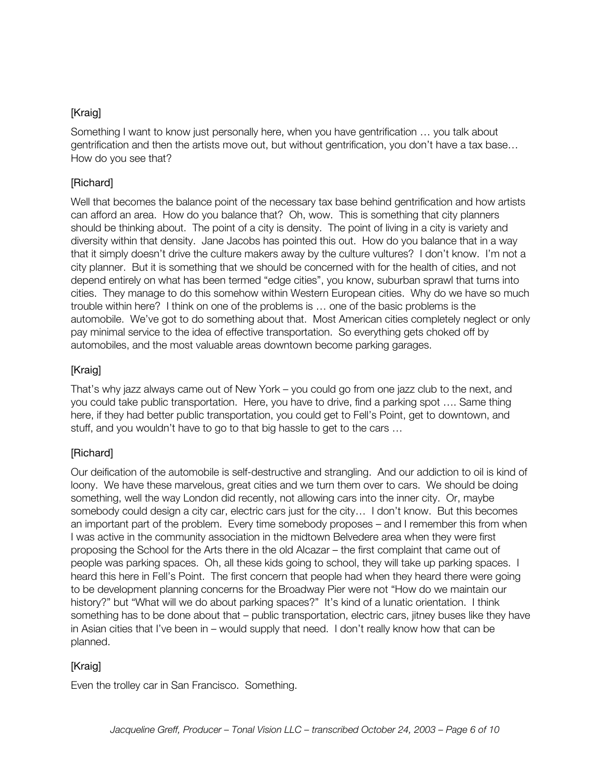Something I want to know just personally here, when you have gentrification … you talk about gentrification and then the artists move out, but without gentrification, you don't have a tax base… How do you see that?

#### [Richard]

Well that becomes the balance point of the necessary tax base behind gentrification and how artists can afford an area. How do you balance that? Oh, wow. This is something that city planners should be thinking about. The point of a city is density. The point of living in a city is variety and diversity within that density. Jane Jacobs has pointed this out. How do you balance that in a way that it simply doesn't drive the culture makers away by the culture vultures? I don't know. I'm not a city planner. But it is something that we should be concerned with for the health of cities, and not depend entirely on what has been termed "edge cities", you know, suburban sprawl that turns into cities. They manage to do this somehow within Western European cities. Why do we have so much trouble within here? I think on one of the problems is … one of the basic problems is the automobile. We've got to do something about that. Most American cities completely neglect or only pay minimal service to the idea of effective transportation. So everything gets choked off by automobiles, and the most valuable areas downtown become parking garages.

# [Kraig]

That's why jazz always came out of New York – you could go from one jazz club to the next, and you could take public transportation. Here, you have to drive, find a parking spot …. Same thing here, if they had better public transportation, you could get to Fell's Point, get to downtown, and stuff, and you wouldn't have to go to that big hassle to get to the cars …

#### [Richard]

Our deification of the automobile is self-destructive and strangling. And our addiction to oil is kind of loony. We have these marvelous, great cities and we turn them over to cars. We should be doing something, well the way London did recently, not allowing cars into the inner city. Or, maybe somebody could design a city car, electric cars just for the city... I don't know. But this becomes an important part of the problem. Every time somebody proposes – and I remember this from when I was active in the community association in the midtown Belvedere area when they were first proposing the School for the Arts there in the old Alcazar – the first complaint that came out of people was parking spaces. Oh, all these kids going to school, they will take up parking spaces. I heard this here in Fell's Point. The first concern that people had when they heard there were going to be development planning concerns for the Broadway Pier were not "How do we maintain our history?" but "What will we do about parking spaces?" It's kind of a lunatic orientation. I think something has to be done about that – public transportation, electric cars, jitney buses like they have in Asian cities that I've been in – would supply that need. I don't really know how that can be planned.

#### [Kraig]

Even the trolley car in San Francisco. Something.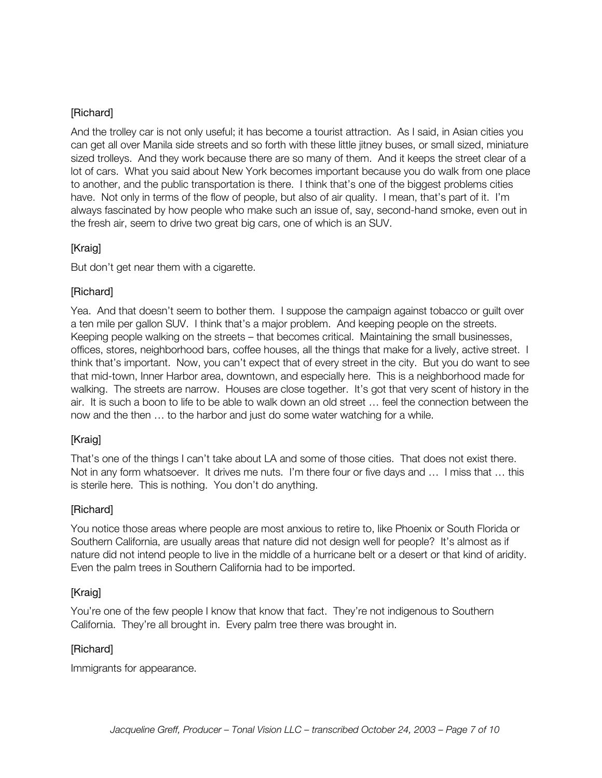#### [Richard]

And the trolley car is not only useful; it has become a tourist attraction. As I said, in Asian cities you can get all over Manila side streets and so forth with these little jitney buses, or small sized, miniature sized trolleys. And they work because there are so many of them. And it keeps the street clear of a lot of cars. What you said about New York becomes important because you do walk from one place to another, and the public transportation is there. I think that's one of the biggest problems cities have. Not only in terms of the flow of people, but also of air quality. I mean, that's part of it. I'm always fascinated by how people who make such an issue of, say, second-hand smoke, even out in the fresh air, seem to drive two great big cars, one of which is an SUV.

#### [Kraig]

But don't get near them with a cigarette.

#### [Richard]

Yea. And that doesn't seem to bother them. I suppose the campaign against tobacco or guilt over a ten mile per gallon SUV. I think that's a major problem. And keeping people on the streets. Keeping people walking on the streets – that becomes critical. Maintaining the small businesses, offices, stores, neighborhood bars, coffee houses, all the things that make for a lively, active street. I think that's important. Now, you can't expect that of every street in the city. But you do want to see that mid-town, Inner Harbor area, downtown, and especially here. This is a neighborhood made for walking. The streets are narrow. Houses are close together. It's got that very scent of history in the air. It is such a boon to life to be able to walk down an old street … feel the connection between the now and the then … to the harbor and just do some water watching for a while.

#### [Kraig]

That's one of the things I can't take about LA and some of those cities. That does not exist there. Not in any form whatsoever. It drives me nuts. I'm there four or five days and … I miss that … this is sterile here. This is nothing. You don't do anything.

#### [Richard]

You notice those areas where people are most anxious to retire to, like Phoenix or South Florida or Southern California, are usually areas that nature did not design well for people? It's almost as if nature did not intend people to live in the middle of a hurricane belt or a desert or that kind of aridity. Even the palm trees in Southern California had to be imported.

#### [Kraig]

You're one of the few people I know that know that fact. They're not indigenous to Southern California. They're all brought in. Every palm tree there was brought in.

#### [Richard]

Immigrants for appearance.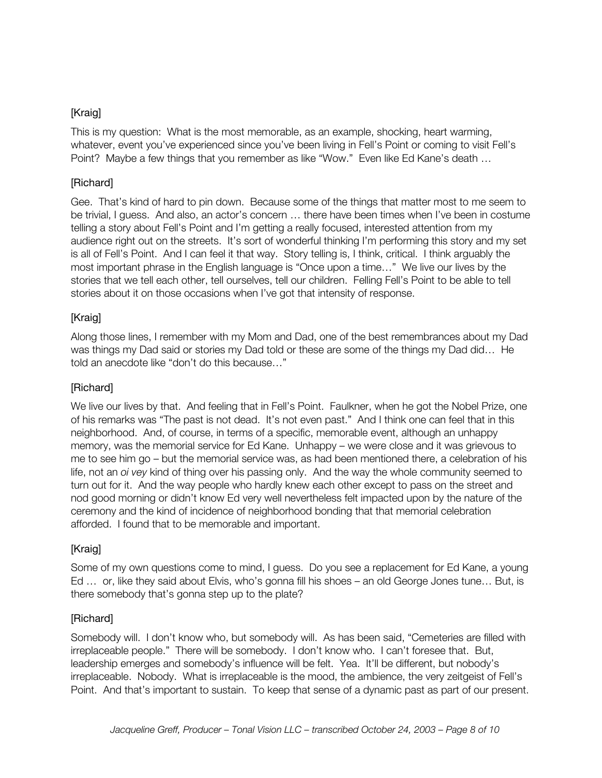This is my question: What is the most memorable, as an example, shocking, heart warming, whatever, event you've experienced since you've been living in Fell's Point or coming to visit Fell's Point? Maybe a few things that you remember as like "Wow." Even like Ed Kane's death …

#### [Richard]

Gee. That's kind of hard to pin down. Because some of the things that matter most to me seem to be trivial, I guess. And also, an actor's concern … there have been times when I've been in costume telling a story about Fell's Point and I'm getting a really focused, interested attention from my audience right out on the streets. It's sort of wonderful thinking I'm performing this story and my set is all of Fell's Point. And I can feel it that way. Story telling is, I think, critical. I think arguably the most important phrase in the English language is "Once upon a time…" We live our lives by the stories that we tell each other, tell ourselves, tell our children. Felling Fell's Point to be able to tell stories about it on those occasions when I've got that intensity of response.

#### [Kraig]

Along those lines, I remember with my Mom and Dad, one of the best remembrances about my Dad was things my Dad said or stories my Dad told or these are some of the things my Dad did… He told an anecdote like "don't do this because…"

#### [Richard]

We live our lives by that. And feeling that in Fell's Point. Faulkner, when he got the Nobel Prize, one of his remarks was "The past is not dead. It's not even past." And I think one can feel that in this neighborhood. And, of course, in terms of a specific, memorable event, although an unhappy memory, was the memorial service for Ed Kane. Unhappy – we were close and it was grievous to me to see him go – but the memorial service was, as had been mentioned there, a celebration of his life, not an *oi vey* kind of thing over his passing only. And the way the whole community seemed to turn out for it. And the way people who hardly knew each other except to pass on the street and nod good morning or didn't know Ed very well nevertheless felt impacted upon by the nature of the ceremony and the kind of incidence of neighborhood bonding that that memorial celebration afforded. I found that to be memorable and important.

#### [Kraig]

Some of my own questions come to mind, I guess. Do you see a replacement for Ed Kane, a young Ed … or, like they said about Elvis, who's gonna fill his shoes – an old George Jones tune… But, is there somebody that's gonna step up to the plate?

#### [Richard]

Somebody will. I don't know who, but somebody will. As has been said, "Cemeteries are filled with irreplaceable people." There will be somebody. I don't know who. I can't foresee that. But, leadership emerges and somebody's influence will be felt. Yea. It'll be different, but nobody's irreplaceable. Nobody. What is irreplaceable is the mood, the ambience, the very zeitgeist of Fell's Point. And that's important to sustain. To keep that sense of a dynamic past as part of our present.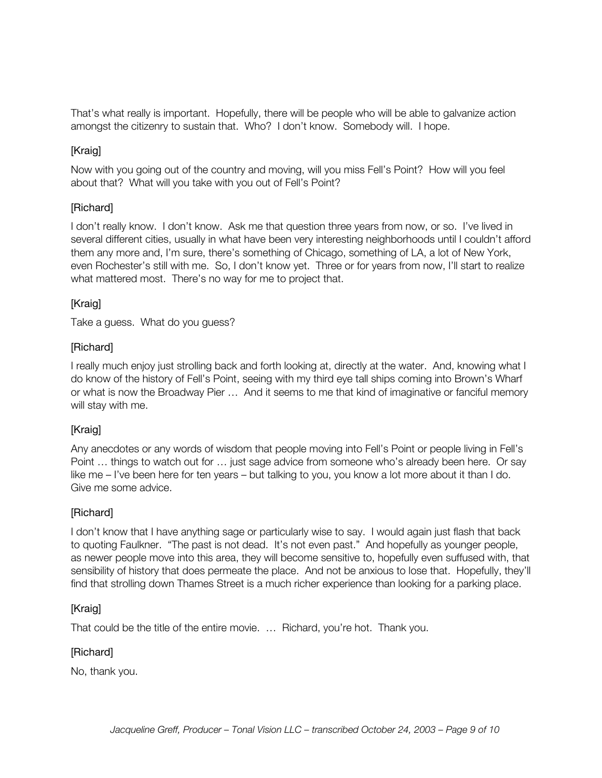That's what really is important. Hopefully, there will be people who will be able to galvanize action amongst the citizenry to sustain that. Who? I don't know. Somebody will. I hope.

#### [Kraig]

Now with you going out of the country and moving, will you miss Fell's Point? How will you feel about that? What will you take with you out of Fell's Point?

#### [Richard]

I don't really know. I don't know. Ask me that question three years from now, or so. I've lived in several different cities, usually in what have been very interesting neighborhoods until I couldn't afford them any more and, I'm sure, there's something of Chicago, something of LA, a lot of New York, even Rochester's still with me. So, I don't know yet. Three or for years from now, I'll start to realize what mattered most. There's no way for me to project that.

#### [Kraig]

Take a guess. What do you guess?

#### [Richard]

I really much enjoy just strolling back and forth looking at, directly at the water. And, knowing what I do know of the history of Fell's Point, seeing with my third eye tall ships coming into Brown's Wharf or what is now the Broadway Pier … And it seems to me that kind of imaginative or fanciful memory will stay with me.

#### [Kraig]

Any anecdotes or any words of wisdom that people moving into Fell's Point or people living in Fell's Point … things to watch out for … just sage advice from someone who's already been here. Or say like me – I've been here for ten years – but talking to you, you know a lot more about it than I do. Give me some advice.

#### [Richard]

I don't know that I have anything sage or particularly wise to say. I would again just flash that back to quoting Faulkner. "The past is not dead. It's not even past." And hopefully as younger people, as newer people move into this area, they will become sensitive to, hopefully even suffused with, that sensibility of history that does permeate the place. And not be anxious to lose that. Hopefully, they'll find that strolling down Thames Street is a much richer experience than looking for a parking place.

#### [Kraig]

That could be the title of the entire movie. … Richard, you're hot. Thank you.

#### [Richard]

No, thank you.